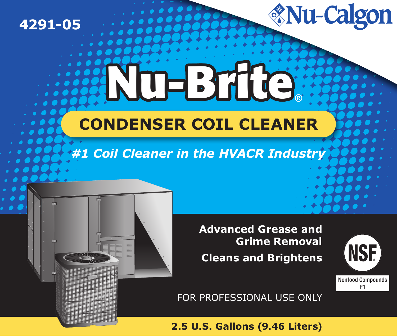

# **THE STILLE CONDENSER COIL CLEANER**

# #1 Coil Cleaner in the HVACR Industry

**Advanced Grease and Grime Removal Cleans and Brightens** 



**Nu-Calgon** 

FOR PROFESSIONAL USE ONLY

2.5 U.S. Gallons (9.46 Liters)